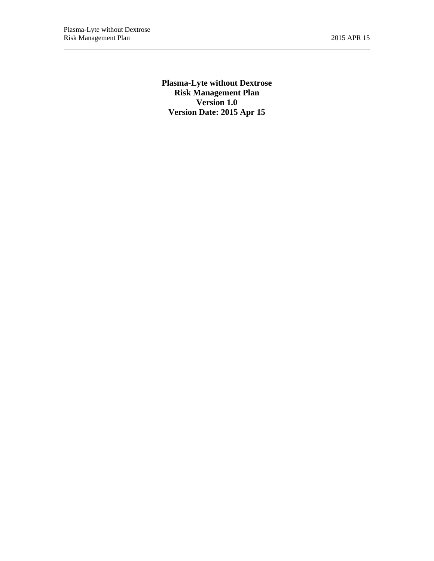**Plasma-Lyte without Dextrose Risk Management Plan Version 1.0 Version Date: 2015 Apr 15**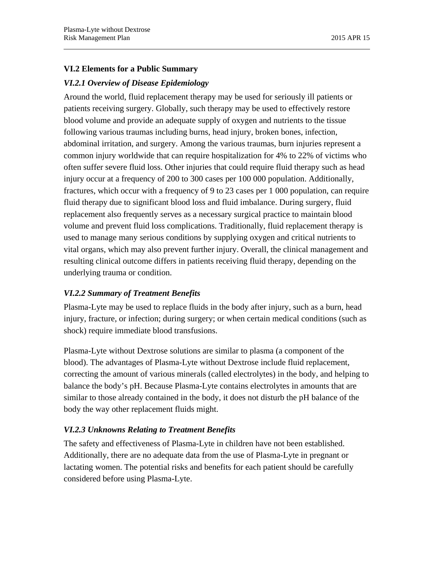# **VI.2 Elements for a Public Summary**

# *VI.2.1 Overview of Disease Epidemiology*

Around the world, fluid replacement therapy may be used for seriously ill patients or patients receiving surgery. Globally, such therapy may be used to effectively restore blood volume and provide an adequate supply of oxygen and nutrients to the tissue following various traumas including burns, head injury, broken bones, infection, abdominal irritation, and surgery. Among the various traumas, burn injuries represent a common injury worldwide that can require hospitalization for 4% to 22% of victims who often suffer severe fluid loss. Other injuries that could require fluid therapy such as head injury occur at a frequency of 200 to 300 cases per 100 000 population. Additionally, fractures, which occur with a frequency of 9 to 23 cases per 1 000 population, can require fluid therapy due to significant blood loss and fluid imbalance. During surgery, fluid replacement also frequently serves as a necessary surgical practice to maintain blood volume and prevent fluid loss complications. Traditionally, fluid replacement therapy is used to manage many serious conditions by supplying oxygen and critical nutrients to vital organs, which may also prevent further injury. Overall, the clinical management and resulting clinical outcome differs in patients receiving fluid therapy, depending on the underlying trauma or condition.

# *VI.2.2 Summary of Treatment Benefits*

Plasma-Lyte may be used to replace fluids in the body after injury, such as a burn, head injury, fracture, or infection; during surgery; or when certain medical conditions (such as shock) require immediate blood transfusions.

Plasma-Lyte without Dextrose solutions are similar to plasma (a component of the blood). The advantages of Plasma-Lyte without Dextrose include fluid replacement, correcting the amount of various minerals (called electrolytes) in the body, and helping to balance the body's pH. Because Plasma-Lyte contains electrolytes in amounts that are similar to those already contained in the body, it does not disturb the pH balance of the body the way other replacement fluids might.

# *VI.2.3 Unknowns Relating to Treatment Benefits*

The safety and effectiveness of Plasma-Lyte in children have not been established. Additionally, there are no adequate data from the use of Plasma-Lyte in pregnant or lactating women. The potential risks and benefits for each patient should be carefully considered before using Plasma-Lyte.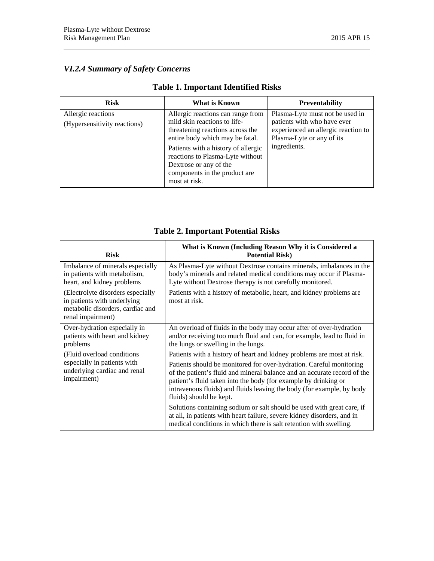# *VI.2.4 Summary of Safety Concerns*

| <b>Risk</b>                                        | What is Known                                                                                                                                                                                                                                                                                   | <b>Preventability</b>                                                                                                                              |
|----------------------------------------------------|-------------------------------------------------------------------------------------------------------------------------------------------------------------------------------------------------------------------------------------------------------------------------------------------------|----------------------------------------------------------------------------------------------------------------------------------------------------|
| Allergic reactions<br>(Hypersensitivity reactions) | Allergic reactions can range from<br>mild skin reactions to life-<br>threatening reactions across the<br>entire body which may be fatal.<br>Patients with a history of allergic<br>reactions to Plasma-Lyte without<br>Dextrose or any of the<br>components in the product are<br>most at risk. | Plasma-Lyte must not be used in<br>patients with who have ever<br>experienced an allergic reaction to<br>Plasma-Lyte or any of its<br>ingredients. |

# **Table 1. Important Identified Risks**

| <b>Risk</b>                                                                                                               | What is Known (Including Reason Why it is Considered a<br><b>Potential Risk)</b>                                                                                                                                                                                                                                       |
|---------------------------------------------------------------------------------------------------------------------------|------------------------------------------------------------------------------------------------------------------------------------------------------------------------------------------------------------------------------------------------------------------------------------------------------------------------|
| Imbalance of minerals especially<br>in patients with metabolism,<br>heart, and kidney problems                            | As Plasma-Lyte without Dextrose contains minerals, imbalances in the<br>body's minerals and related medical conditions may occur if Plasma-<br>Lyte without Dextrose therapy is not carefully monitored.                                                                                                               |
| (Electrolyte disorders especially<br>in patients with underlying<br>metabolic disorders, cardiac and<br>renal impairment) | Patients with a history of metabolic, heart, and kidney problems are<br>most at risk.                                                                                                                                                                                                                                  |
| Over-hydration especially in<br>patients with heart and kidney<br>problems                                                | An overload of fluids in the body may occur after of over-hydration<br>and/or receiving too much fluid and can, for example, lead to fluid in<br>the lungs or swelling in the lungs.                                                                                                                                   |
| (Fluid overload conditions)<br>especially in patients with<br>underlying cardiac and renal<br>impairment)                 | Patients with a history of heart and kidney problems are most at risk.                                                                                                                                                                                                                                                 |
|                                                                                                                           | Patients should be monitored for over-hydration. Careful monitoring<br>of the patient's fluid and mineral balance and an accurate record of the<br>patient's fluid taken into the body (for example by drinking or<br>intravenous fluids) and fluids leaving the body (for example, by body<br>fluids) should be kept. |
|                                                                                                                           | Solutions containing sodium or salt should be used with great care, if<br>at all, in patients with heart failure, severe kidney disorders, and in<br>medical conditions in which there is salt retention with swelling.                                                                                                |